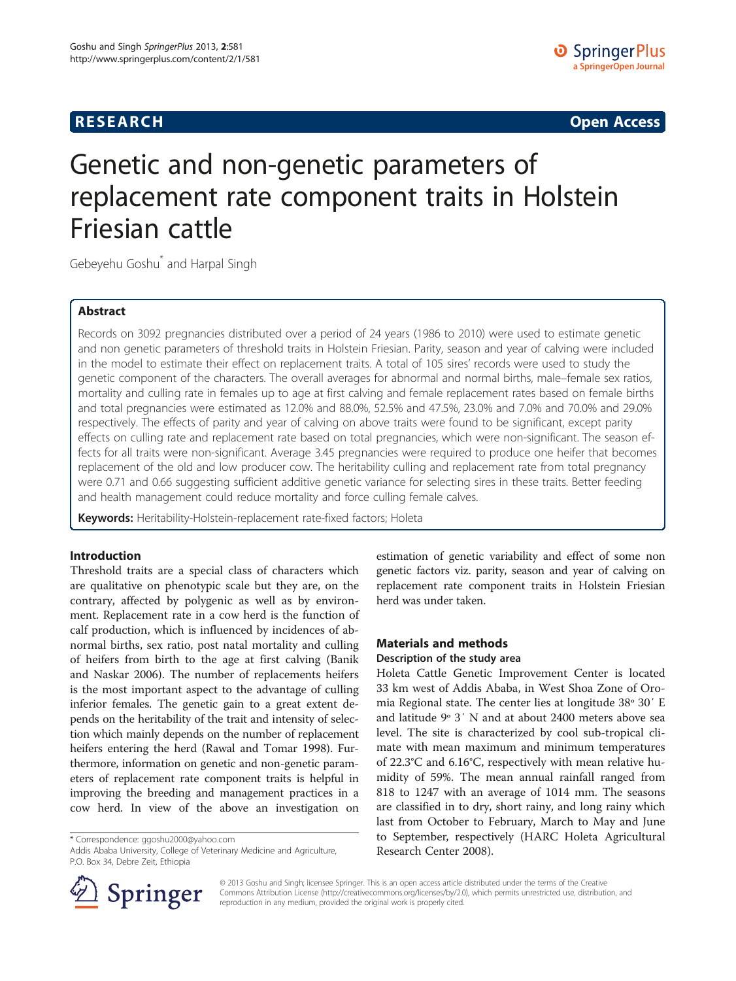**RESEARCH RESEARCH CONSUMING ACCESS** 

# Genetic and non-genetic parameters of replacement rate component traits in Holstein Friesian cattle

Gebeyehu Goshu<sup>\*</sup> and Harpal Singh

#### Abstract

Records on 3092 pregnancies distributed over a period of 24 years (1986 to 2010) were used to estimate genetic and non genetic parameters of threshold traits in Holstein Friesian. Parity, season and year of calving were included in the model to estimate their effect on replacement traits. A total of 105 sires' records were used to study the genetic component of the characters. The overall averages for abnormal and normal births, male–female sex ratios, mortality and culling rate in females up to age at first calving and female replacement rates based on female births and total pregnancies were estimated as 12.0% and 88.0%, 52.5% and 47.5%, 23.0% and 7.0% and 70.0% and 29.0% respectively. The effects of parity and year of calving on above traits were found to be significant, except parity effects on culling rate and replacement rate based on total pregnancies, which were non-significant. The season effects for all traits were non-significant. Average 3.45 pregnancies were required to produce one heifer that becomes replacement of the old and low producer cow. The heritability culling and replacement rate from total pregnancy were 0.71 and 0.66 suggesting sufficient additive genetic variance for selecting sires in these traits. Better feeding and health management could reduce mortality and force culling female calves.

Keywords: Heritability-Holstein-replacement rate-fixed factors; Holeta

#### Introduction

Threshold traits are a special class of characters which are qualitative on phenotypic scale but they are, on the contrary, affected by polygenic as well as by environment. Replacement rate in a cow herd is the function of calf production, which is influenced by incidences of abnormal births, sex ratio, post natal mortality and culling of heifers from birth to the age at first calving (Banik and Naskar [2006\)](#page-5-0). The number of replacements heifers is the most important aspect to the advantage of culling inferior females. The genetic gain to a great extent depends on the heritability of the trait and intensity of selection which mainly depends on the number of replacement heifers entering the herd (Rawal and Tomar [1998](#page-6-0)). Furthermore, information on genetic and non-genetic parameters of replacement rate component traits is helpful in improving the breeding and management practices in a cow herd. In view of the above an investigation on

\* Correspondence: [ggoshu2000@yahoo.com](mailto:ggoshu2000@yahoo.com)

Addis Ababa University, College of Veterinary Medicine and Agriculture, P.O. Box 34, Debre Zeit, Ethiopia



## Materials and methods

#### Description of the study area

Holeta Cattle Genetic Improvement Center is located 33 km west of Addis Ababa, in West Shoa Zone of Oromia Regional state. The center lies at longitude 38º 30′ E and latitude 9º 3′ N and at about 2400 meters above sea level. The site is characterized by cool sub-tropical climate with mean maximum and minimum temperatures of 22.3°C and 6.16°C, respectively with mean relative humidity of 59%. The mean annual rainfall ranged from 818 to 1247 with an average of 1014 mm. The seasons are classified in to dry, short rainy, and long rainy which last from October to February, March to May and June to September, respectively (HARC Holeta Agricultural Research Center [2008](#page-5-0)).



© 2013 Goshu and Singh; licensee Springer. This is an open access article distributed under the terms of the Creative Commons Attribution License (<http://creativecommons.org/licenses/by/2.0>), which permits unrestricted use, distribution, and reproduction in any medium, provided the original work is properly cited.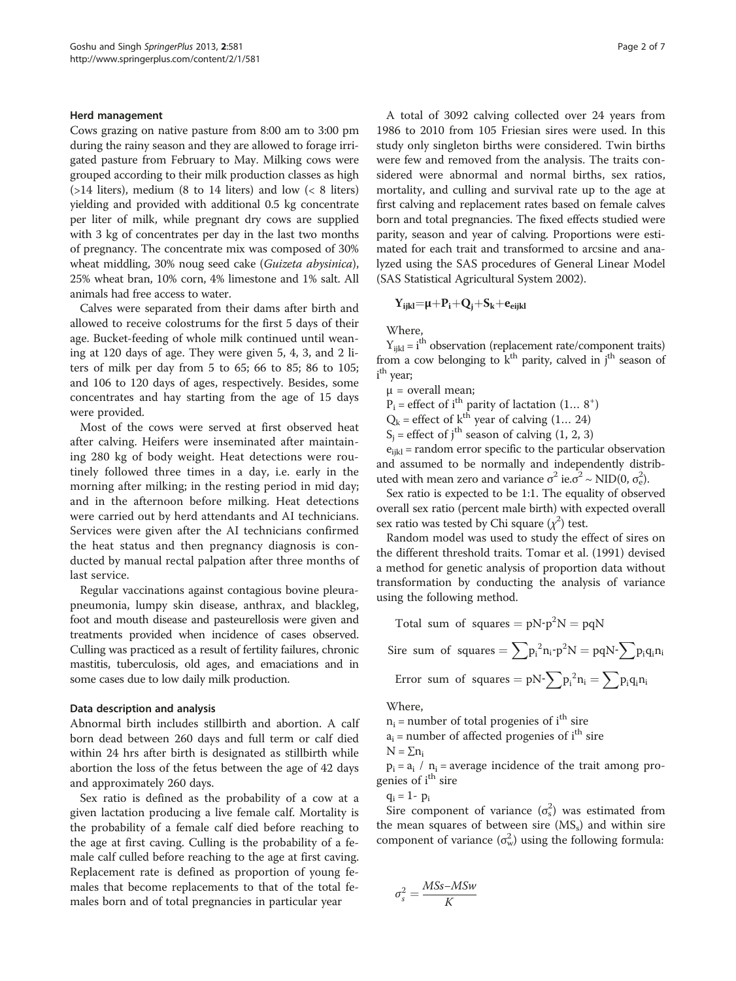#### Herd management

Cows grazing on native pasture from 8:00 am to 3:00 pm during the rainy season and they are allowed to forage irrigated pasture from February to May. Milking cows were grouped according to their milk production classes as high  $($ >14 liters), medium (8 to 14 liters) and low ( $< 8$  liters) yielding and provided with additional 0.5 kg concentrate per liter of milk, while pregnant dry cows are supplied with 3 kg of concentrates per day in the last two months of pregnancy. The concentrate mix was composed of 30% wheat middling, 30% noug seed cake (Guizeta abysinica), 25% wheat bran, 10% corn, 4% limestone and 1% salt. All animals had free access to water.

Calves were separated from their dams after birth and allowed to receive colostrums for the first 5 days of their age. Bucket-feeding of whole milk continued until weaning at 120 days of age. They were given 5, 4, 3, and 2 liters of milk per day from 5 to 65; 66 to 85; 86 to 105; and 106 to 120 days of ages, respectively. Besides, some concentrates and hay starting from the age of 15 days were provided.

Most of the cows were served at first observed heat after calving. Heifers were inseminated after maintaining 280 kg of body weight. Heat detections were routinely followed three times in a day, i.e. early in the morning after milking; in the resting period in mid day; and in the afternoon before milking. Heat detections were carried out by herd attendants and AI technicians. Services were given after the AI technicians confirmed the heat status and then pregnancy diagnosis is conducted by manual rectal palpation after three months of last service.

Regular vaccinations against contagious bovine pleurapneumonia, lumpy skin disease, anthrax, and blackleg, foot and mouth disease and pasteurellosis were given and treatments provided when incidence of cases observed. Culling was practiced as a result of fertility failures, chronic mastitis, tuberculosis, old ages, and emaciations and in some cases due to low daily milk production.

#### Data description and analysis

Abnormal birth includes stillbirth and abortion. A calf born dead between 260 days and full term or calf died within 24 hrs after birth is designated as stillbirth while abortion the loss of the fetus between the age of 42 days and approximately 260 days.

Sex ratio is defined as the probability of a cow at a given lactation producing a live female calf. Mortality is the probability of a female calf died before reaching to the age at first caving. Culling is the probability of a female calf culled before reaching to the age at first caving. Replacement rate is defined as proportion of young females that become replacements to that of the total females born and of total pregnancies in particular year

A total of 3092 calving collected over 24 years from 1986 to 2010 from 105 Friesian sires were used. In this study only singleton births were considered. Twin births were few and removed from the analysis. The traits considered were abnormal and normal births, sex ratios, mortality, and culling and survival rate up to the age at first calving and replacement rates based on female calves born and total pregnancies. The fixed effects studied were parity, season and year of calving. Proportions were estimated for each trait and transformed to arcsine and analyzed using the SAS procedures of General Linear Model (SAS Statistical Agricultural System [2002](#page-6-0)).

$$
Y_{ijkl}{=}\mu{+}P_i{+}Q_j{+}S_k{+}e_{\text{eijkl}}
$$

Where,

 $Y_{ijkl} = i^{th}$  observation (replacement rate/component traits) from a cow belonging to  $k<sup>th</sup>$  parity, calved in j<sup>th</sup> season of i<sup>th</sup> year;

 $\mu$  = overall mean;

 $P_i$  = effect of i<sup>th</sup> parity of lactation  $(1... 8^+)$ 

 $Q_k$  = effect of  $k^{\text{th}}$  year of calving (1... 24)

 $S_i$  = effect of j<sup>th</sup> season of calving (1, 2, 3)

 $e_{ijkl}$  = random error specific to the particular observation and assumed to be normally and independently distributed with mean zero and variance  $\sigma^2$  ie. $\sigma^2 \sim \text{NID}(0, \sigma_e^2)$ .

Sex ratio is expected to be 1:1. The equality of observed overall sex ratio (percent male birth) with expected overall sex ratio was tested by Chi square  $(\chi^2)$  test.

Random model was used to study the effect of sires on the different threshold traits. [Tomar et al. \(1991\)](#page-6-0) devised a method for genetic analysis of proportion data without transformation by conducting the analysis of variance using the following method.

Total sum of squares =  $pN-p^2N = pqN$ 

$$
\text{Sire sum of squares} = \sum p_i^{\,2} n_i \text{-} p^2 N = pqN \text{-} \sum p_i q_i n_i
$$

Error sum of squares =  $pN - \sum p_i^2 n_i = \sum p_i q_i n_i$ 

Where,

 $n_i$  = number of total progenies of i<sup>th</sup> sire  $a_i$  = number of affected progenies of i<sup>th</sup> sire

 $N = \sum n_i$ 

 $p_i = a_i / n_i$  = average incidence of the trait among progenies of i<sup>th</sup> sire

 $q_i = 1 - p_i$ 

Sire component of variance  $(\sigma_s^2)$  was estimated from the mean squares of between sire  $(MS<sub>s</sub>)$  and within sire component of variance  $(\sigma_w^2)$  using the following formula:

$$
\sigma_s^2 = \frac{M S s - M S w}{K}
$$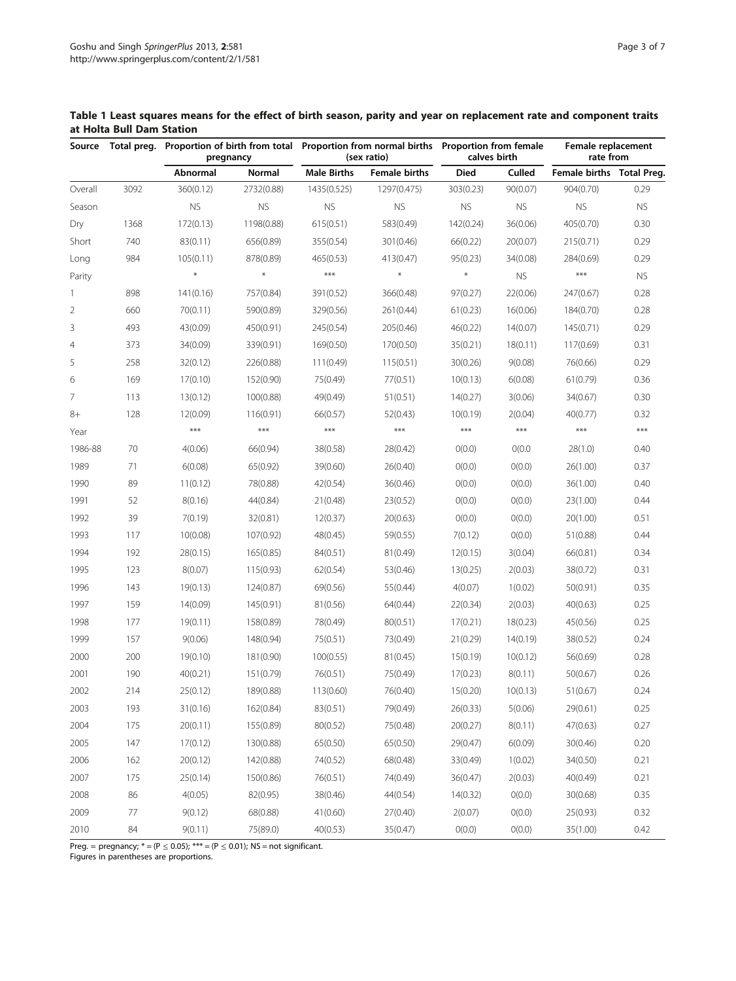<span id="page-2-0"></span>at Holta Bull Dam Station

| Source         | Total preg. | pregnancy |            | Proportion of birth from total Proportion from normal births Proportion from female<br>(sex ratio) |                      | calves birth |           | Female replacement<br>rate from |           |
|----------------|-------------|-----------|------------|----------------------------------------------------------------------------------------------------|----------------------|--------------|-----------|---------------------------------|-----------|
|                |             | Abnormal  | Normal     | <b>Male Births</b>                                                                                 | <b>Female births</b> | <b>Died</b>  | Culled    | Female births Total Preg.       |           |
| Overall        | 3092        | 360(0.12) | 2732(0.88) | 1435(0.525)                                                                                        | 1297(0.475)          | 303(0.23)    | 90(0.07)  | 904(0.70)                       | 0.29      |
| Season         |             | <b>NS</b> | <b>NS</b>  | <b>NS</b>                                                                                          | <b>NS</b>            | <b>NS</b>    | <b>NS</b> | <b>NS</b>                       | <b>NS</b> |
| Dry            | 1368        | 172(0.13) | 1198(0.88) | 615(0.51)                                                                                          | 583(0.49)            | 142(0.24)    | 36(0.06)  | 405(0.70)                       | 0.30      |
| Short          | 740         | 83(0.11)  | 656(0.89)  | 355(0.54)                                                                                          | 301(0.46)            | 66(0.22)     | 20(0.07)  | 215(0.71)                       | 0.29      |
| Long           | 984         | 105(0.11) | 878(0.89)  | 465(0.53)                                                                                          | 413(0.47)            | 95(0.23)     | 34(0.08)  | 284(0.69)                       | 0.29      |
| Parity         |             | $\ast$    | $\ast$     | $***$                                                                                              | $\ast$               | $\ast$       | <b>NS</b> | $***$                           | <b>NS</b> |
| $\mathbf{1}$   | 898         | 141(0.16) | 757(0.84)  | 391(0.52)                                                                                          | 366(0.48)            | 97(0.27)     | 22(0.06)  | 247(0.67)                       | 0.28      |
| 2              | 660         | 70(0.11)  | 590(0.89)  | 329(0.56)                                                                                          | 261(0.44)            | 61(0.23)     | 16(0.06)  | 184(0.70)                       | 0.28      |
| 3              | 493         | 43(0.09)  | 450(0.91)  | 245(0.54)                                                                                          | 205(0.46)            | 46(0.22)     | 14(0.07)  | 145(0.71)                       | 0.29      |
| $\overline{4}$ | 373         | 34(0.09)  | 339(0.91)  | 169(0.50)                                                                                          | 170(0.50)            | 35(0.21)     | 18(0.11)  | 117(0.69)                       | 0.31      |
| 5              | 258         | 32(0.12)  | 226(0.88)  | 111(0.49)                                                                                          | 115(0.51)            | 30(0.26)     | 9(0.08)   | 76(0.66)                        | 0.29      |
| 6              | 169         | 17(0.10)  | 152(0.90)  | 75(0.49)                                                                                           | 77(0.51)             | 10(0.13)     | 6(0.08)   | 61(0.79)                        | 0.36      |
| 7              | 113         | 13(0.12)  | 100(0.88)  | 49(0.49)                                                                                           | 51(0.51)             | 14(0.27)     | 3(0.06)   | 34(0.67)                        | 0.30      |
| 8+             | 128         | 12(0.09)  | 116(0.91)  | 66(0.57)                                                                                           | 52(0.43)             | 10(0.19)     | 2(0.04)   | 40(0.77)                        | 0.32      |
| Year           |             | $***$     | $***$      | $***$                                                                                              | $***$                | $***$        | $***$     | $***$                           | $***$     |
| 1986-88        | 70          | 4(0.06)   | 66(0.94)   | 38(0.58)                                                                                           | 28(0.42)             | O(0.0)       | O(0.0)    | 28(1.0)                         | 0.40      |
| 1989           | 71          | 6(0.08)   | 65(0.92)   | 39(0.60)                                                                                           | 26(0.40)             | O(0.0)       | O(0.0)    | 26(1.00)                        | 0.37      |
| 1990           | 89          | 11(0.12)  | 78(0.88)   | 42(0.54)                                                                                           | 36(0.46)             | O(0.0)       | O(0.0)    | 36(1.00)                        | 0.40      |
| 1991           | 52          | 8(0.16)   | 44(0.84)   | 21(0.48)                                                                                           | 23(0.52)             | O(0.0)       | O(0.0)    | 23(1.00)                        | 0.44      |
| 1992           | 39          | 7(0.19)   | 32(0.81)   | 12(0.37)                                                                                           | 20(0.63)             | O(0.0)       | O(0.0)    | 20(1.00)                        | 0.51      |
| 1993           | 117         | 10(0.08)  | 107(0.92)  | 48(0.45)                                                                                           | 59(0.55)             | 7(0.12)      | O(0.0)    | 51(0.88)                        | 0.44      |
| 1994           | 192         | 28(0.15)  | 165(0.85)  | 84(0.51)                                                                                           | 81(0.49)             | 12(0.15)     | 3(0.04)   | 66(0.81)                        | 0.34      |
| 1995           | 123         | 8(0.07)   | 115(0.93)  | 62(0.54)                                                                                           | 53(0.46)             | 13(0.25)     | 2(0.03)   | 38(0.72)                        | 0.31      |
| 1996           | 143         | 19(0.13)  | 124(0.87)  | 69(0.56)                                                                                           | 55(0.44)             | 4(0.07)      | 1(0.02)   | 50(0.91)                        | 0.35      |
| 1997           | 159         | 14(0.09)  | 145(0.91)  | 81(0.56)                                                                                           | 64(0.44)             | 22(0.34)     | 2(0.03)   | 40(0.63)                        | 0.25      |
| 1998           | 177         | 19(0.11)  | 158(0.89)  | 78(0.49)                                                                                           | 80(0.51)             | 17(0.21)     | 18(0.23)  | 45(0.56)                        | 0.25      |
| 1999           | 157         | 9(0.06)   | 148(0.94)  | 75(0.51)                                                                                           | 73(0.49)             | 21(0.29)     | 14(0.19)  | 38(0.52)                        | 0.24      |
| 2000           | 200         | 19(0.10)  | 181(0.90)  | 100(0.55)                                                                                          | 81(0.45)             | 15(0.19)     | 10(0.12)  | 56(0.69)                        | 0.28      |
| 2001           | 190         | 40(0.21)  | 151(0.79)  | 76(0.51)                                                                                           | 75(0.49)             | 17(0.23)     | 8(0.11)   | 50(0.67)                        | 0.26      |
| 2002           | 214         | 25(0.12)  | 189(0.88)  | 113(0.60)                                                                                          | 76(0.40)             | 15(0.20)     | 10(0.13)  | 51(0.67)                        | 0.24      |
| 2003           | 193         | 31(0.16)  | 162(0.84)  | 83(0.51)                                                                                           | 79(0.49)             | 26(0.33)     | 5(0.06)   | 29(0.61)                        | 0.25      |
| 2004           | 175         | 20(0.11)  | 155(0.89)  | 80(0.52)                                                                                           | 75(0.48)             | 20(0.27)     | 8(0.11)   | 47(0.63)                        | 0.27      |
| 2005           | 147         | 17(0.12)  | 130(0.88)  | 65(0.50)                                                                                           | 65(0.50)             | 29(0.47)     | 6(0.09)   | 30(0.46)                        | 0.20      |
| 2006           | 162         | 20(0.12)  | 142(0.88)  | 74(0.52)                                                                                           | 68(0.48)             | 33(0.49)     | 1(0.02)   | 34(0.50)                        | 0.21      |
| 2007           | 175         | 25(0.14)  | 150(0.86)  | 76(0.51)                                                                                           | 74(0.49)             | 36(0.47)     | 2(0.03)   | 40(0.49)                        | 0.21      |
| 2008           | 86          | 4(0.05)   | 82(0.95)   | 38(0.46)                                                                                           | 44(0.54)             | 14(0.32)     | O(0.0)    | 30(0.68)                        | 0.35      |
| 2009           | 77          | 9(0.12)   | 68(0.88)   | 41(0.60)                                                                                           | 27(0.40)             | 2(0.07)      | O(0.0)    | 25(0.93)                        | 0.32      |
| 2010           | 84          | 9(0.11)   | 75(89.0)   | 40(0.53)                                                                                           | 35(0.47)             | O(0.0)       | O(0.0)    | 35(1.00)                        | 0.42      |

Preg. = pregnancy;  $* = (P \le 0.05)$ ;  $*** = (P \le 0.01)$ ; NS = not significant.

Figures in parentheses are proportions.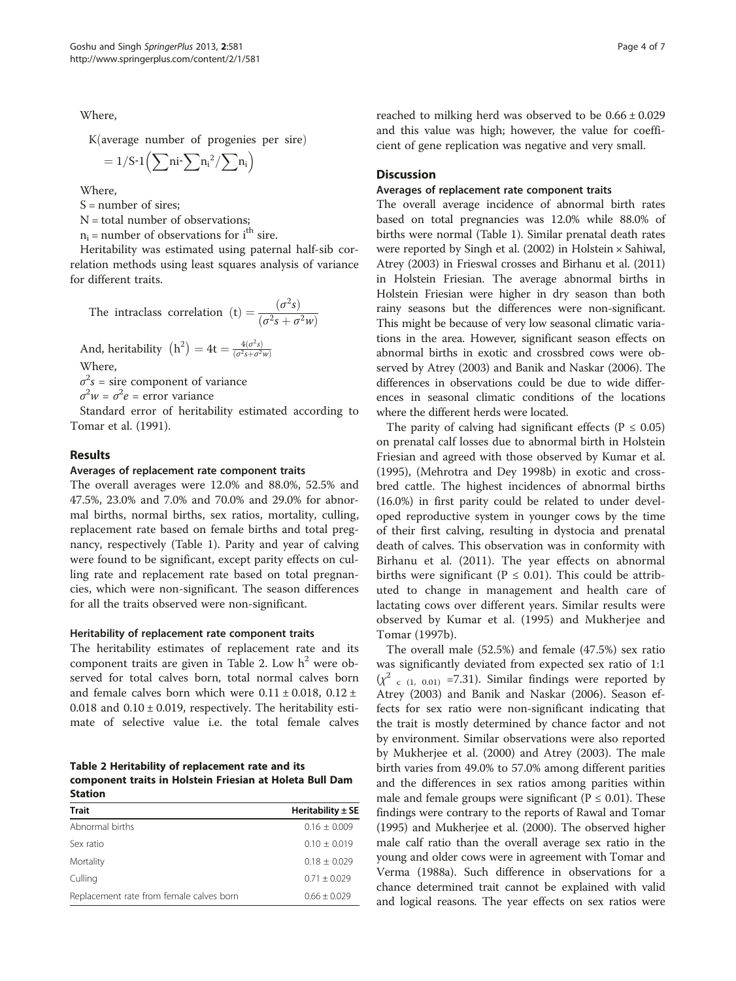Where,

 $K(average number of progenies per sire)$ 

$$
=1/S\text{-}1\left(\sum ni\text{-}\sum n_i^2/\sum n_i\right)
$$

Where,

 $S =$  number of sires;

N = total number of observations;

 $n_i$  = number of observations for i<sup>th</sup> sire.

Heritability was estimated using paternal half-sib correlation methods using least squares analysis of variance for different traits.

The intraclass correlation (t)  $=$   $\frac{(\sigma^2 s)}{(\sigma^2 s + \sigma^2 w)}$ 

And, heritability  $(h^2) = 4t = \frac{4(\sigma^2 s)}{(\sigma^2 s + \sigma^2 w)}$ Where,

 $\sigma^2 s$  = sire component of variance

 $\sigma^2 w = \sigma^2 e =$  error variance

Standard error of heritability estimated according to Tomar et al. [\(1991\)](#page-6-0).

#### Results

#### Averages of replacement rate component traits

The overall averages were 12.0% and 88.0%, 52.5% and 47.5%, 23.0% and 7.0% and 70.0% and 29.0% for abnormal births, normal births, sex ratios, mortality, culling, replacement rate based on female births and total pregnancy, respectively (Table [1\)](#page-2-0). Parity and year of calving were found to be significant, except parity effects on culling rate and replacement rate based on total pregnancies, which were non-significant. The season differences for all the traits observed were non-significant.

#### Heritability of replacement rate component traits

The heritability estimates of replacement rate and its component traits are given in Table 2. Low  $h^2$  were observed for total calves born, total normal calves born and female calves born which were  $0.11 \pm 0.018$ ,  $0.12 \pm 0.018$ 0.018 and  $0.10 \pm 0.019$ , respectively. The heritability estimate of selective value i.e. the total female calves

Table 2 Heritability of replacement rate and its component traits in Holstein Friesian at Holeta Bull Dam Station

| <b>Trait</b>                             | Heritability $\pm$ SE |  |  |  |  |  |
|------------------------------------------|-----------------------|--|--|--|--|--|
| Abnormal births                          | $0.16 \pm 0.009$      |  |  |  |  |  |
| Sex ratio                                | $0.10 + 0.019$        |  |  |  |  |  |
| Mortality                                | $0.18 + 0.029$        |  |  |  |  |  |
| Culling                                  | $0.71 + 0.029$        |  |  |  |  |  |
| Replacement rate from female calves born | $0.66 + 0.029$        |  |  |  |  |  |

reached to milking herd was observed to be 0.66 ± 0.029 and this value was high; however, the value for coefficient of gene replication was negative and very small.

#### **Discussion**

#### Averages of replacement rate component traits

The overall average incidence of abnormal birth rates based on total pregnancies was 12.0% while 88.0% of births were normal (Table [1](#page-2-0)). Similar prenatal death rates were reported by Singh et al. ([2002\)](#page-6-0) in Holstein × Sahiwal, Atrey [\(2003](#page-5-0)) in Frieswal crosses and Birhanu et al. [\(2011](#page-5-0)) in Holstein Friesian. The average abnormal births in Holstein Friesian were higher in dry season than both rainy seasons but the differences were non-significant. This might be because of very low seasonal climatic variations in the area. However, significant season effects on abnormal births in exotic and crossbred cows were observed by Atrey [\(2003](#page-5-0)) and Banik and Naskar [\(2006](#page-5-0)). The differences in observations could be due to wide differences in seasonal climatic conditions of the locations where the different herds were located.

The parity of calving had significant effects ( $P \le 0.05$ ) on prenatal calf losses due to abnormal birth in Holstein Friesian and agreed with those observed by Kumar et al. ([1995\)](#page-5-0), (Mehrotra and Dey [1998b](#page-5-0)) in exotic and crossbred cattle. The highest incidences of abnormal births (16.0%) in first parity could be related to under developed reproductive system in younger cows by the time of their first calving, resulting in dystocia and prenatal death of calves. This observation was in conformity with Birhanu et al. ([2011\)](#page-5-0). The year effects on abnormal births were significant ( $P \le 0.01$ ). This could be attributed to change in management and health care of lactating cows over different years. Similar results were observed by Kumar et al. ([1995](#page-5-0)) and Mukherjee and Tomar ([1997b](#page-5-0)).

The overall male (52.5%) and female (47.5%) sex ratio was significantly deviated from expected sex ratio of 1:1  $(\chi^2$  <sub>c (1, 0.01)</sub> =7.31). Similar findings were reported by Atrey ([2003\)](#page-5-0) and Banik and Naskar ([2006](#page-5-0)). Season effects for sex ratio were non-significant indicating that the trait is mostly determined by chance factor and not by environment. Similar observations were also reported by Mukherjee et al. [\(2000\)](#page-5-0) and Atrey ([2003\)](#page-5-0). The male birth varies from 49.0% to 57.0% among different parities and the differences in sex ratios among parities within male and female groups were significant ( $P \le 0.01$ ). These findings were contrary to the reports of Rawal and Tomar ([1995](#page-6-0)) and Mukherjee et al. ([2000](#page-5-0)). The observed higher male calf ratio than the overall average sex ratio in the young and older cows were in agreement with Tomar and Verma ([1988a](#page-6-0)). Such difference in observations for a chance determined trait cannot be explained with valid and logical reasons. The year effects on sex ratios were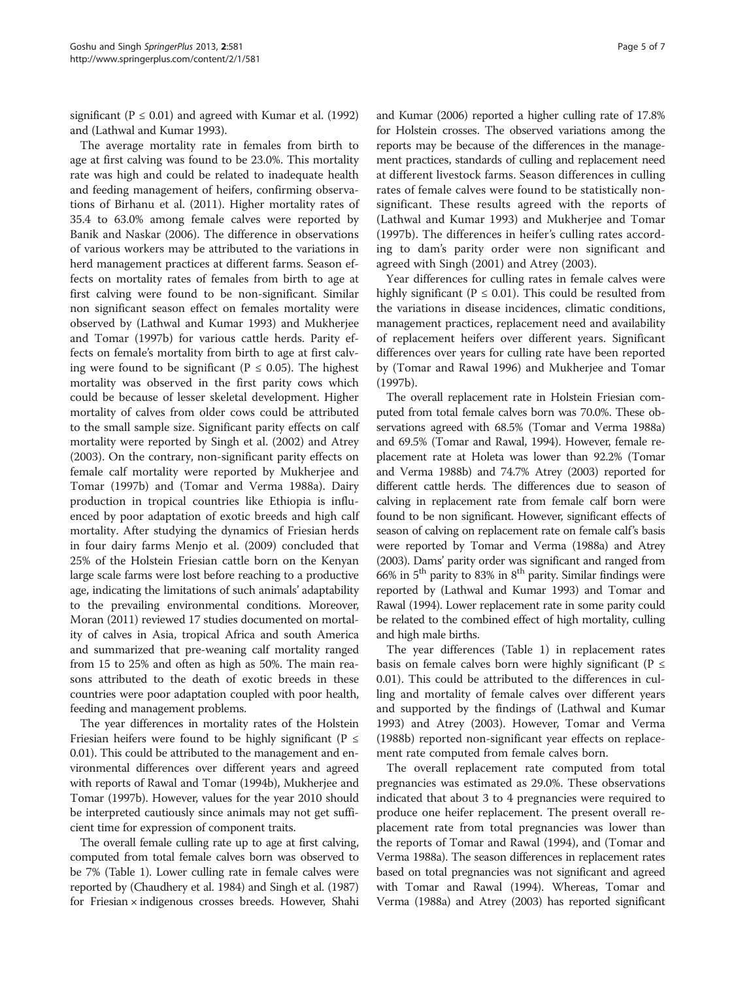significant ( $P \le 0.01$ ) and agreed with Kumar et al. [\(1992](#page-5-0)) and (Lathwal and Kumar [1993\)](#page-5-0).

The average mortality rate in females from birth to age at first calving was found to be 23.0%. This mortality rate was high and could be related to inadequate health and feeding management of heifers, confirming observations of Birhanu et al. ([2011\)](#page-5-0). Higher mortality rates of 35.4 to 63.0% among female calves were reported by Banik and Naskar ([2006](#page-5-0)). The difference in observations of various workers may be attributed to the variations in herd management practices at different farms. Season effects on mortality rates of females from birth to age at first calving were found to be non-significant. Similar non significant season effect on females mortality were observed by (Lathwal and Kumar [1993](#page-5-0)) and Mukherjee and Tomar [\(1997b\)](#page-5-0) for various cattle herds. Parity effects on female's mortality from birth to age at first calving were found to be significant ( $P \le 0.05$ ). The highest mortality was observed in the first parity cows which could be because of lesser skeletal development. Higher mortality of calves from older cows could be attributed to the small sample size. Significant parity effects on calf mortality were reported by Singh et al. ([2002](#page-6-0)) and Atrey ([2003](#page-5-0)). On the contrary, non-significant parity effects on female calf mortality were reported by Mukherjee and Tomar ([1997b](#page-5-0)) and (Tomar and Verma [1988a](#page-6-0)). Dairy production in tropical countries like Ethiopia is influenced by poor adaptation of exotic breeds and high calf mortality. After studying the dynamics of Friesian herds in four dairy farms Menjo et al. [\(2009\)](#page-5-0) concluded that 25% of the Holstein Friesian cattle born on the Kenyan large scale farms were lost before reaching to a productive age, indicating the limitations of such animals' adaptability to the prevailing environmental conditions. Moreover, Moran ([2011\)](#page-5-0) reviewed 17 studies documented on mortality of calves in Asia, tropical Africa and south America and summarized that pre-weaning calf mortality ranged from 15 to 25% and often as high as 50%. The main reasons attributed to the death of exotic breeds in these countries were poor adaptation coupled with poor health, feeding and management problems.

The year differences in mortality rates of the Holstein Friesian heifers were found to be highly significant ( $P \leq$ 0.01). This could be attributed to the management and environmental differences over different years and agreed with reports of Rawal and Tomar [\(1994b](#page-6-0)), Mukherjee and Tomar [\(1997b\)](#page-5-0). However, values for the year 2010 should be interpreted cautiously since animals may not get sufficient time for expression of component traits.

The overall female culling rate up to age at first calving, computed from total female calves born was observed to be 7% (Table [1\)](#page-2-0). Lower culling rate in female calves were reported by (Chaudhery et al. [1984](#page-5-0)) and Singh et al. [\(1987](#page-6-0)) for Friesian × indigenous crosses breeds. However, Shahi

and Kumar ([2006\)](#page-6-0) reported a higher culling rate of 17.8% for Holstein crosses. The observed variations among the reports may be because of the differences in the management practices, standards of culling and replacement need at different livestock farms. Season differences in culling rates of female calves were found to be statistically nonsignificant. These results agreed with the reports of (Lathwal and Kumar [1993](#page-5-0)) and Mukherjee and Tomar ([1997b](#page-5-0)). The differences in heifer's culling rates according to dam's parity order were non significant and agreed with Singh ([2001\)](#page-6-0) and Atrey ([2003\)](#page-5-0).

Year differences for culling rates in female calves were highly significant ( $P \le 0.01$ ). This could be resulted from the variations in disease incidences, climatic conditions, management practices, replacement need and availability of replacement heifers over different years. Significant differences over years for culling rate have been reported by (Tomar and Rawal [1996\)](#page-6-0) and Mukherjee and Tomar ([1997b\)](#page-5-0).

The overall replacement rate in Holstein Friesian computed from total female calves born was 70.0%. These observations agreed with 68.5% (Tomar and Verma [1988a](#page-6-0)) and 69.5% (Tomar and Rawal, [1994](#page-6-0)). However, female replacement rate at Holeta was lower than 92.2% (Tomar and Verma [1988b\)](#page-6-0) and 74.7% Atrey [\(2003](#page-5-0)) reported for different cattle herds. The differences due to season of calving in replacement rate from female calf born were found to be non significant. However, significant effects of season of calving on replacement rate on female calf's basis were reported by Tomar and Verma [\(1988a](#page-6-0)) and Atrey ([2003\)](#page-5-0). Dams' parity order was significant and ranged from 66% in  $5<sup>th</sup>$  parity to 83% in  $8<sup>th</sup>$  parity. Similar findings were reported by (Lathwal and Kumar [1993\)](#page-5-0) and Tomar and Rawal [\(1994](#page-6-0)). Lower replacement rate in some parity could be related to the combined effect of high mortality, culling and high male births.

The year differences (Table [1\)](#page-2-0) in replacement rates basis on female calves born were highly significant ( $P \leq$ 0.01). This could be attributed to the differences in culling and mortality of female calves over different years and supported by the findings of (Lathwal and Kumar [1993](#page-5-0)) and Atrey [\(2003\)](#page-5-0). However, Tomar and Verma ([1988b\)](#page-6-0) reported non-significant year effects on replacement rate computed from female calves born.

The overall replacement rate computed from total pregnancies was estimated as 29.0%. These observations indicated that about 3 to 4 pregnancies were required to produce one heifer replacement. The present overall replacement rate from total pregnancies was lower than the reports of Tomar and Rawal [\(1994\)](#page-6-0), and (Tomar and Verma [1988a\)](#page-6-0). The season differences in replacement rates based on total pregnancies was not significant and agreed with Tomar and Rawal [\(1994](#page-6-0)). Whereas, Tomar and Verma ([1988a\)](#page-6-0) and Atrey [\(2003\)](#page-5-0) has reported significant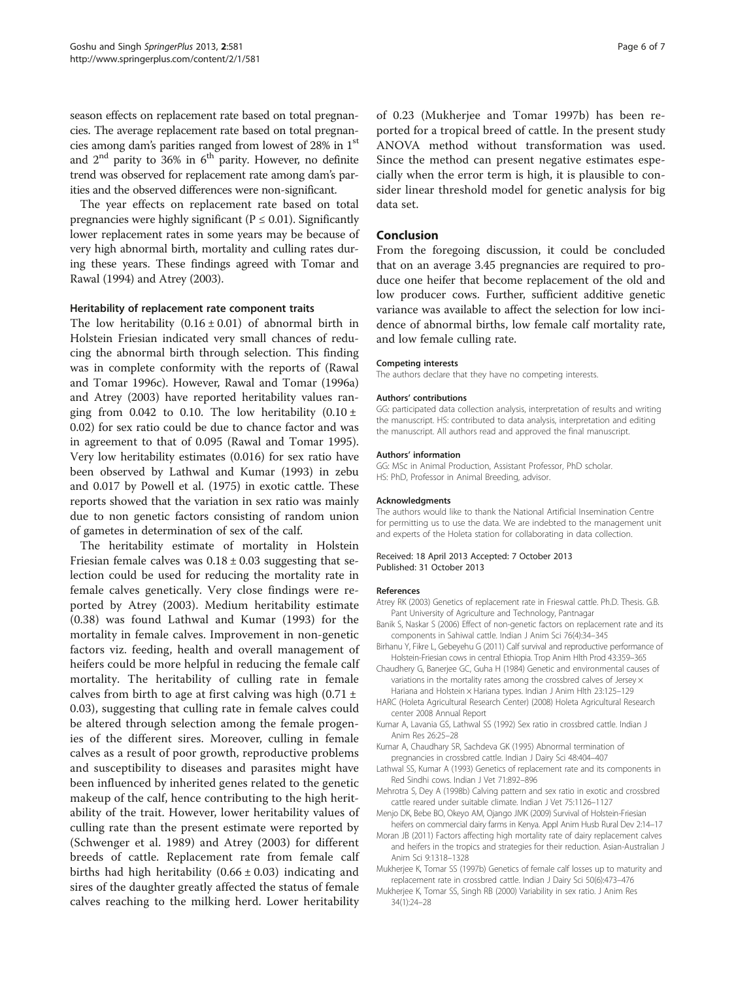<span id="page-5-0"></span>season effects on replacement rate based on total pregnancies. The average replacement rate based on total pregnancies among dam's parities ranged from lowest of 28% in 1st and  $2<sup>nd</sup>$  parity to 36% in 6<sup>th</sup> parity. However, no definite trend was observed for replacement rate among dam's parities and the observed differences were non-significant.

The year effects on replacement rate based on total pregnancies were highly significant ( $P \le 0.01$ ). Significantly lower replacement rates in some years may be because of very high abnormal birth, mortality and culling rates during these years. These findings agreed with Tomar and Rawal [\(1994\)](#page-6-0) and Atrey (2003).

#### Heritability of replacement rate component traits

The low heritability  $(0.16 \pm 0.01)$  of abnormal birth in Holstein Friesian indicated very small chances of reducing the abnormal birth through selection. This finding was in complete conformity with the reports of (Rawal and Tomar [1996c\)](#page-6-0). However, Rawal and Tomar [\(1996a](#page-6-0)) and Atrey (2003) have reported heritability values ranging from 0.042 to 0.10. The low heritability  $(0.10 \pm 1.00)$ 0.02) for sex ratio could be due to chance factor and was in agreement to that of 0.095 (Rawal and Tomar [1995](#page-6-0)). Very low heritability estimates (0.016) for sex ratio have been observed by Lathwal and Kumar (1993) in zebu and 0.017 by Powell et al. ([1975\)](#page-6-0) in exotic cattle. These reports showed that the variation in sex ratio was mainly due to non genetic factors consisting of random union of gametes in determination of sex of the calf.

The heritability estimate of mortality in Holstein Friesian female calves was  $0.18 \pm 0.03$  suggesting that selection could be used for reducing the mortality rate in female calves genetically. Very close findings were reported by Atrey (2003). Medium heritability estimate (0.38) was found Lathwal and Kumar (1993) for the mortality in female calves. Improvement in non-genetic factors viz. feeding, health and overall management of heifers could be more helpful in reducing the female calf mortality. The heritability of culling rate in female calves from birth to age at first calving was high  $(0.71 \pm 1)$ 0.03), suggesting that culling rate in female calves could be altered through selection among the female progenies of the different sires. Moreover, culling in female calves as a result of poor growth, reproductive problems and susceptibility to diseases and parasites might have been influenced by inherited genes related to the genetic makeup of the calf, hence contributing to the high heritability of the trait. However, lower heritability values of culling rate than the present estimate were reported by (Schwenger et al. [1989\)](#page-6-0) and Atrey (2003) for different breeds of cattle. Replacement rate from female calf births had high heritability  $(0.66 \pm 0.03)$  indicating and sires of the daughter greatly affected the status of female calves reaching to the milking herd. Lower heritability

of 0.23 (Mukherjee and Tomar 1997b) has been reported for a tropical breed of cattle. In the present study ANOVA method without transformation was used. Since the method can present negative estimates especially when the error term is high, it is plausible to consider linear threshold model for genetic analysis for big data set.

#### Conclusion

From the foregoing discussion, it could be concluded that on an average 3.45 pregnancies are required to produce one heifer that become replacement of the old and low producer cows. Further, sufficient additive genetic variance was available to affect the selection for low incidence of abnormal births, low female calf mortality rate, and low female culling rate.

#### Competing interests

The authors declare that they have no competing interests.

#### Authors' contributions

GG: participated data collection analysis, interpretation of results and writing the manuscript. HS: contributed to data analysis, interpretation and editing the manuscript. All authors read and approved the final manuscript.

#### Authors' information

GG: MSc in Animal Production, Assistant Professor, PhD scholar. HS: PhD, Professor in Animal Breeding, advisor.

#### Acknowledgments

The authors would like to thank the National Artificial Insemination Centre for permitting us to use the data. We are indebted to the management unit and experts of the Holeta station for collaborating in data collection.

#### Received: 18 April 2013 Accepted: 7 October 2013 Published: 31 October 2013

#### References

- Atrey RK (2003) Genetics of replacement rate in Frieswal cattle. Ph.D. Thesis. G.B. Pant University of Agriculture and Technology, Pantnagar
- Banik S, Naskar S (2006) Effect of non-genetic factors on replacement rate and its components in Sahiwal cattle. Indian J Anim Sci 76(4):34–345
- Birhanu Y, Fikre L, Gebeyehu G (2011) Calf survival and reproductive performance of Holstein-Friesian cows in central Ethiopia. Trop Anim Hlth Prod 43:359–365
- Chaudhery G, Banerjee GC, Guha H (1984) Genetic and environmental causes of variations in the mortality rates among the crossbred calves of Jersey × Hariana and Holstein × Hariana types. Indian J Anim Hlth 23:125–129
- HARC (Holeta Agricultural Research Center) (2008) Holeta Agricultural Research center 2008 Annual Report
- Kumar A, Lavania GS, Lathwal SS (1992) Sex ratio in crossbred cattle. Indian J Anim Res 26:25–28
- Kumar A, Chaudhary SR, Sachdeva GK (1995) Abnormal termination of pregnancies in crossbred cattle. Indian J Dairy Sci 48:404–407
- Lathwal SS, Kumar A (1993) Genetics of replacement rate and its components in Red Sindhi cows. Indian J Vet 71:892–896
- Mehrotra S, Dey A (1998b) Calving pattern and sex ratio in exotic and crossbred cattle reared under suitable climate. Indian J Vet 75:1126–1127
- Menjo DK, Bebe BO, Okeyo AM, Ojango JMK (2009) Survival of Holstein-Friesian heifers on commercial dairy farms in Kenya. Appl Anim Husb Rural Dev 2:14–17
- Moran JB (2011) Factors affecting high mortality rate of dairy replacement calves and heifers in the tropics and strategies for their reduction. Asian-Australian J Anim Sci 9:1318–1328
- Mukherjee K, Tomar SS (1997b) Genetics of female calf losses up to maturity and replacement rate in crossbred cattle. Indian J Dairy Sci 50(6):473–476
- Mukherjee K, Tomar SS, Singh RB (2000) Variability in sex ratio. J Anim Res 34(1):24–28